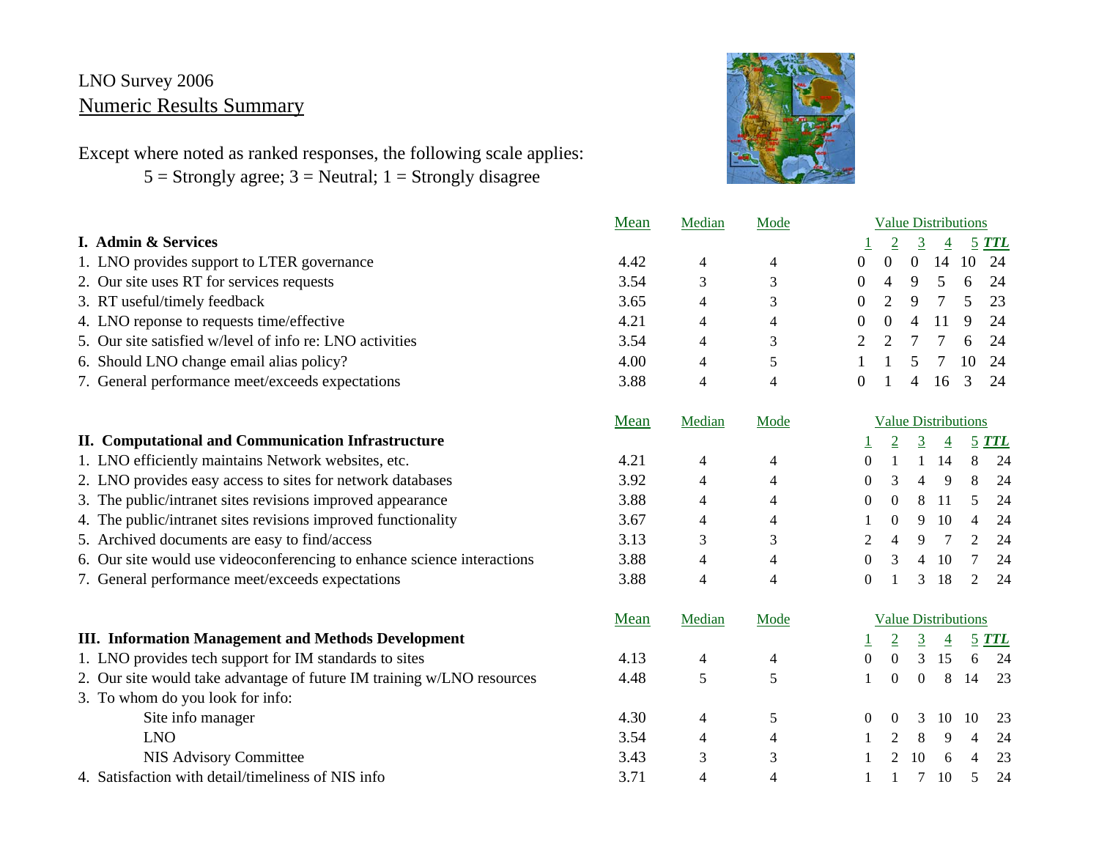## LNO Survey 2006 Numeric Results Summary

Except where noted as ranked responses, the following scale applies:

 $5 =$  Strongly agree;  $3 =$  Neutral;  $1 =$  Strongly disagree

## **I. Admin & Services**

| 1. LNO provides support to LTER governance               | 4.42 |  |  |  | 0 0 0 14 10 24                 |  |
|----------------------------------------------------------|------|--|--|--|--------------------------------|--|
| 2. Our site uses RT for services requests                | 3.54 |  |  |  | $0 \t4 \t9 \t5 \t6 \t24$       |  |
| 3. RT useful/timely feedback                             | 3.65 |  |  |  | 0 2 9 7 5 23                   |  |
| 4. LNO reponse to requests time/effective                | 4.21 |  |  |  | $0 \t 0 \t 4 \t 11 \t 9 \t 24$ |  |
| 5. Our site satisfied w/level of info re: LNO activities | 3.54 |  |  |  | 2 2 7 7 6 24                   |  |
| 6. Should LNO change email alias policy?                 | 4.00 |  |  |  | 1 1 5 7 10 24                  |  |

7. General performance meet/exceeds expectations 3.88 4

|                                                            | Mean | Median | Mode |  | Value Distributions       |  |
|------------------------------------------------------------|------|--------|------|--|---------------------------|--|
| II. Computational and Communication Infrastructure         |      |        |      |  | $1 \t2 \t3 \t4 \t5 \tTTL$ |  |
| 1. LNO efficiently maintains Network websites, etc.        | 4.21 |        |      |  | 0 1 1 1 4 8 24            |  |
| 2. LNO provides easy access to sites for network databases | 3.92 |        |      |  | 0 3 4 9 8 24              |  |
| 3. The public/intranet sites revisions improved appearance | 3.88 |        |      |  | 0 0 8 11 5 24             |  |

- 4. The public/intranet sites revisions improved functionality 3.67 4 4 1 0 9 10 4 24
- 5. Archived documents are easy to find/access 3.13 3 3 3 2 4 9 7 2 24
- 6. Our site would use videoconferencing to enhance science interactions 3.88 4 4 4 0 3 4 10 7 24
- 7. General performance meet/exceeds expectations 3.88 4 4 0 1 3 18 2 24

|                                                                        | Mean | Median | Mode |  |          |      | <b>Value Distributions</b> |               |
|------------------------------------------------------------------------|------|--------|------|--|----------|------|----------------------------|---------------|
| <b>III.</b> Information Management and Methods Development             |      |        |      |  |          |      |                            | 5 TTL         |
| 1. LNO provides tech support for IM standards to sites                 | 4.13 | 4      |      |  |          |      |                            | - 24          |
| 2. Our site would take advantage of future IM training w/LNO resources | 4.48 |        |      |  | $\Omega$ | 8    |                            | 14 23         |
| 3. To whom do you look for info:                                       |      |        |      |  |          |      |                            |               |
| Site info manager                                                      | 4.30 | 4      |      |  |          | 3 10 |                            | $10 \quad 23$ |
| <b>LNO</b>                                                             | 3.54 | 4      |      |  | 8        |      |                            | -24           |
| NIS Advisory Committee                                                 | 3.43 |        |      |  | 10       |      |                            | -23           |
| 4. Satisfaction with detail/timeliness of NIS info                     | 3.71 |        |      |  |          |      |                            | 24            |



Mean

|                                    | Mean | Median | Mode           | <b>Value Distributions</b> |          |    |    |       |
|------------------------------------|------|--------|----------------|----------------------------|----------|----|----|-------|
|                                    |      |        |                |                            |          | 4  |    | 5 TTL |
| port to LTER governance            | 4.42 | 4      | $\overline{4}$ | $\Omega$                   | $\Omega$ | 14 | 10 | -24   |
| or services requests               | 3.54 | 3      | 3              | 4                          | 9        |    | 6  | - 24  |
| eedback                            | 3.65 | 4      | 3              | 2                          | 9        |    |    | -23   |
| equests time/effective             | 4.21 | 4      | 4              | $\theta$                   | 4        | 11 | 9  | - 24  |
| w/level of info re: LNO activities | 3.54 | 4      | 3              |                            |          |    | 6  | -24   |
| ge email alias policy?             | 4.00 | 4      | 5              |                            |          |    | 10 | 24    |
| nce meet/exceeds expectations      | 3.88 | 4      | 4              |                            | 4        | 16 |    | 24    |
|                                    |      |        |                |                            |          |    |    |       |

|   |   |          | <b>Value Distributions</b> |                |                             |
|---|---|----------|----------------------------|----------------|-----------------------------|
|   | 2 | <u>3</u> | 4                          |                | $5$ $TTI$                   |
| 0 | 1 | 1        | 14                         | 8              | 2                           |
| 0 | 3 | 4        | 9                          | 8              | $\mathfrak{2}$              |
| 0 | 0 | 8        | 11                         | 5              | $\mathfrak{2}$              |
| 1 | 0 | 9        | 10                         | $\overline{4}$ | 2                           |
| 2 | 4 | 9        | 7                          | 2              | $\mathcal{D}_{\mathcal{L}}$ |
| 0 | 3 | 4        | 10                         | 7              | $\mathcal{D}_{\mathcal{L}}$ |
| 0 |   | 3        | 18                         | 2              | 2                           |
|   |   |          |                            |                |                             |

| <b>Value Distributions</b> |   |    |                |       |              |  |  |  |  |  |  |  |  |
|----------------------------|---|----|----------------|-------|--------------|--|--|--|--|--|--|--|--|
| 1                          | 2 | 3  | $\overline{4}$ |       | <u>5 TTL</u> |  |  |  |  |  |  |  |  |
| 0                          | 0 | 3  | 15             | 6     | 24           |  |  |  |  |  |  |  |  |
| 1                          | 0 | 0  | 8              | 14 23 |              |  |  |  |  |  |  |  |  |
|                            |   |    |                |       |              |  |  |  |  |  |  |  |  |
| 0                          | 0 | 3  | 10             | 10    | 23           |  |  |  |  |  |  |  |  |
| 1                          | 2 | 8  | 9              | 4     | 24           |  |  |  |  |  |  |  |  |
| 1                          | 2 | 10 | 6              | 4     | 23           |  |  |  |  |  |  |  |  |
|                            | 1 | 7  | 10             | 5     |              |  |  |  |  |  |  |  |  |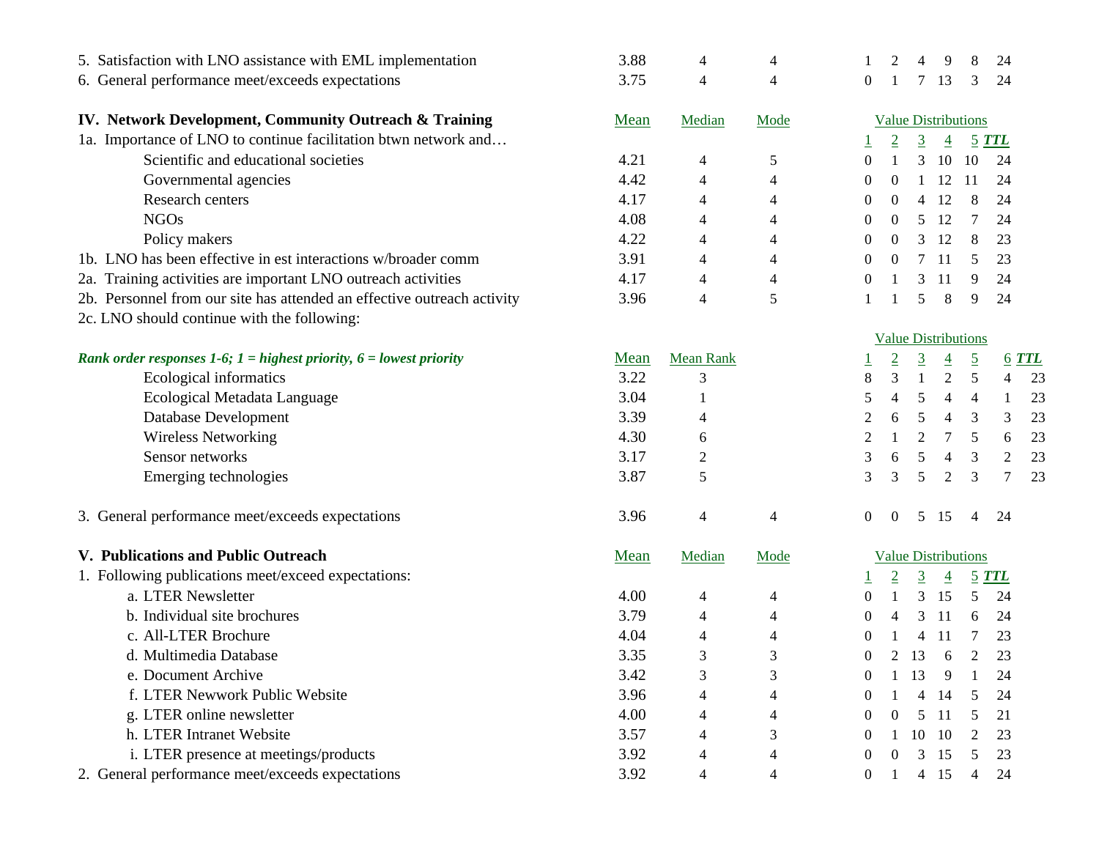| 5. Satisfaction with LNO assistance with EML implementation             | 3.88 | 4                        | 4    |                            |                  | 2                |                | 9              | 8                          | 24             |         |
|-------------------------------------------------------------------------|------|--------------------------|------|----------------------------|------------------|------------------|----------------|----------------|----------------------------|----------------|---------|
| 6. General performance meet/exceeds expectations                        | 3.75 | $\overline{4}$           | 4    |                            | $\overline{0}$   |                  | 7              | 13             | 3                          | 24             |         |
|                                                                         |      |                          |      |                            |                  |                  |                |                |                            |                |         |
| IV. Network Development, Community Outreach & Training                  | Mean | Median                   | Mode | <b>Value Distributions</b> |                  |                  |                |                |                            |                |         |
| 1a. Importance of LNO to continue facilitation btwn network and         |      |                          |      |                            |                  | $\overline{2}$   | $\overline{3}$ | $\overline{4}$ |                            | $5$ $TTL$      |         |
| Scientific and educational societies                                    | 4.21 | 4                        | 5    |                            | $\overline{0}$   | 1                | 3              | 10             | 10                         | 24             |         |
| Governmental agencies                                                   | 4.42 | $\overline{\mathcal{A}}$ | 4    |                            | 0                | $\theta$         |                | 12             | 11                         | 24             |         |
| Research centers                                                        | 4.17 | 4                        | 4    |                            | $\overline{0}$   | $\theta$         | 4              | 12             | 8                          | 24             |         |
| <b>NGOs</b>                                                             | 4.08 | 4                        | 4    |                            | $\overline{0}$   | $\overline{0}$   | 5              | 12             | 7                          | 24             |         |
| Policy makers                                                           | 4.22 | 4                        | 4    |                            | $\theta$         | $\theta$         | 3              | 12             | 8                          | 23             |         |
| 1b. LNO has been effective in est interactions w/broader comm           | 3.91 | 4                        | 4    |                            | $\overline{0}$   | $\boldsymbol{0}$ | 7              | <sup>11</sup>  | 5                          | 23             |         |
| 2a. Training activities are important LNO outreach activities           | 4.17 | 4                        | 4    |                            | $\overline{0}$   | 1                | 3              | 11             | 9                          | 24             |         |
| 2b. Personnel from our site has attended an effective outreach activity | 3.96 | 4                        | 5    |                            | 1                |                  | 5              | 8              | 9                          | 24             |         |
| 2c. LNO should continue with the following:                             |      |                          |      |                            |                  |                  |                |                |                            |                |         |
|                                                                         |      |                          |      |                            |                  |                  |                |                | <b>Value Distributions</b> |                |         |
| Rank order responses 1-6; $1 =$ highest priority, $6 =$ lowest priority | Mean | <b>Mean Rank</b>         |      |                            |                  | $\overline{2}$   | $\overline{3}$ | $\overline{4}$ | $\overline{5}$             |                | $6$ TTL |
| Ecological informatics                                                  | 3.22 | 3                        |      |                            | 8                | 3                | 1              | $\overline{2}$ | $\mathfrak s$              | 4              | 23      |
| Ecological Metadata Language                                            | 3.04 | 1                        |      |                            | 5                | 4                | 5              | 4              | $\overline{4}$             | $\mathbf{1}$   | 23      |
| <b>Database Development</b>                                             | 3.39 | 4                        |      |                            | $\overline{2}$   | 6                | 5              | $\overline{4}$ | 3                          | 3              | 23      |
| <b>Wireless Networking</b>                                              | 4.30 | 6                        |      |                            | $\overline{2}$   | -1               | 2              | 7              | 5                          | 6              | 23      |
| Sensor networks                                                         | 3.17 | 2                        |      |                            | 3                | 6                | 5              | $\overline{4}$ | 3                          | $\mathfrak{2}$ | 23      |
| Emerging technologies                                                   | 3.87 | 5                        |      |                            | 3                | 3                | 5              | 2              | 3                          | $\overline{7}$ | 23      |
| 3. General performance meet/exceeds expectations                        | 3.96 | 4                        | 4    |                            | $\overline{0}$   | $\overline{0}$   | 5              | 15             | 4                          | 24             |         |
| V. Publications and Public Outreach                                     | Mean | Median                   | Mode |                            |                  |                  |                |                | <b>Value Distributions</b> |                |         |
| 1. Following publications meet/exceed expectations:                     |      |                          |      |                            | $\overline{1}$   | $\overline{2}$   | $\overline{3}$ | $\overline{4}$ |                            | <u>5 TTL</u>   |         |
| a. LTER Newsletter                                                      | 4.00 | $\overline{4}$           | 4    |                            | $\boldsymbol{0}$ | $\mathbf{1}$     | 3              | 15             | 5                          | 24             |         |
| b. Individual site brochures                                            | 3.79 | 4                        | 4    |                            | 0                | 4                | 3              | 11             | 6                          | 24             |         |
| c. All-LTER Brochure                                                    | 4.04 | 4                        | 4    |                            | 0                |                  | 4              | 11             | 7                          | 23             |         |
| d. Multimedia Database                                                  | 3.35 | 3                        | 3    |                            | 0                | 2                | 13             | 6              | 2                          | 23             |         |
| e. Document Archive                                                     | 3.42 | 3                        | 3    |                            | 0                | $\mathbf{1}$     | -13            | 9              |                            | 24             |         |
| f. LTER Newwork Public Website                                          | 3.96 | 4                        | 4    |                            | $\theta$         |                  | 4              | 14             | 5                          | 24             |         |
| g. LTER online newsletter                                               | 4.00 | 4                        | 4    |                            | 0                | $\Omega$         | 5              | -11            | 5                          | 21             |         |
| h. LTER Intranet Website                                                | 3.57 | 4                        | 3    |                            | $\theta$         | 1                | 10             | -10            | 2                          | 23             |         |
| i. LTER presence at meetings/products                                   | 3.92 | 4                        | 4    |                            | 0                | $\theta$         | 3              | 15             | 5                          | 23             |         |
| 2. General performance meet/exceeds expectations                        | 3.92 | 4                        | 4    |                            | 0                | -1               |                | $4\quad 15$    | $\overline{4}$             | 24             |         |